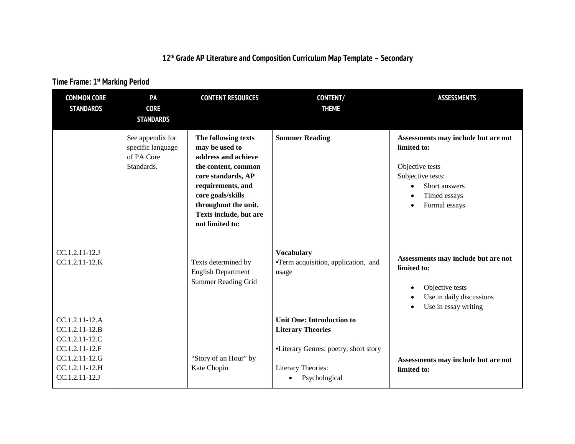## **12th Grade AP Literature and Composition Curriculum Map Template – Secondary**

## **Time Frame: 1st Marking Period**

| <b>COMMON CORE</b><br><b>STANDARDS</b>                                                                                     | PA<br><b>CORE</b><br><b>STANDARDS</b>                             | <b>CONTENT RESOURCES</b>                                                                                                                                                                                                 | CONTENT/<br><b>THEME</b>                                                                                                                     | <b>ASSESSMENTS</b>                                                                                                                                                     |
|----------------------------------------------------------------------------------------------------------------------------|-------------------------------------------------------------------|--------------------------------------------------------------------------------------------------------------------------------------------------------------------------------------------------------------------------|----------------------------------------------------------------------------------------------------------------------------------------------|------------------------------------------------------------------------------------------------------------------------------------------------------------------------|
|                                                                                                                            | See appendix for<br>specific language<br>of PA Core<br>Standards. | The following texts<br>may be used to<br>address and achieve<br>the content, common<br>core standards, AP<br>requirements, and<br>core goals/skills<br>throughout the unit.<br>Texts include, but are<br>not limited to: | <b>Summer Reading</b>                                                                                                                        | Assessments may include but are not<br>limited to:<br>Objective tests<br>Subjective tests:<br>Short answers<br>$\bullet$<br>Timed essays<br>Formal essays<br>$\bullet$ |
| CC.1.2.11-12.J<br>CC.1.2.11-12.K                                                                                           |                                                                   | Texts determined by<br><b>English Department</b><br><b>Summer Reading Grid</b>                                                                                                                                           | <b>Vocabulary</b><br>•Term acquisition, application, and<br>usage                                                                            | Assessments may include but are not<br>limited to:<br>Objective tests<br>$\bullet$<br>Use in daily discussions<br>Use in essay writing<br>$\bullet$                    |
| CC.1.2.11-12.A<br>CC.1.2.11-12.B<br>CC.1.2.11-12.C<br>CC.1.2.11-12.F<br>CC.1.2.11-12.G<br>CC.1.2.11-12.H<br>CC.1.2.11-12.J |                                                                   | "Story of an Hour" by<br>Kate Chopin                                                                                                                                                                                     | <b>Unit One: Introduction to</b><br><b>Literary Theories</b><br>•Literary Genres: poetry, short story<br>Literary Theories:<br>Psychological | Assessments may include but are not<br>limited to:                                                                                                                     |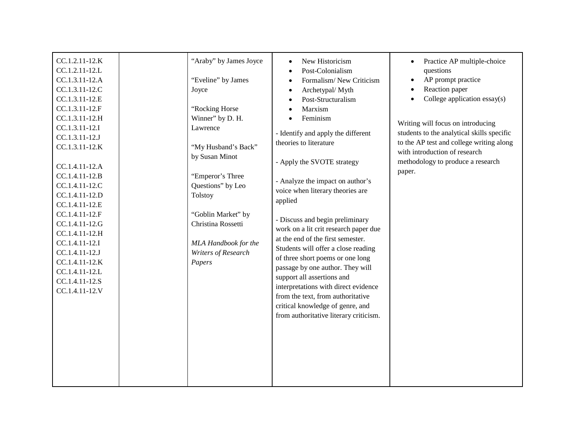| CC.1.2.11-12.K<br>CC.1.2.11-12.L<br>CC.1.3.11-12.A<br>CC.1.3.11-12.C<br>CC.1.3.11-12.E<br>CC.1.3.11-12.F<br>CC.1.3.11-12.H<br>CC.1.3.11-12.I<br>CC.1.3.11-12.J<br>CC.1.3.11-12.K<br>CC.1.4.11-12.A<br>CC.1.4.11-12.B<br>CC.1.4.11-12.C<br>CC.1.4.11-12.D<br>CC.1.4.11-12.E<br>CC.1.4.11-12.F<br>CC.1.4.11-12.G<br>CC.1.4.11-12.H<br>CC.1.4.11-12.I<br>CC.1.4.11-12.J<br>CC.1.4.11-12.K<br>CC.1.4.11-12.L<br>CC.1.4.11-12.S<br>CC.1.4.11-12.V | "Araby" by James Joyce<br>"Eveline" by James<br>Joyce<br>"Rocking Horse<br>Winner" by D. H.<br>Lawrence<br>"My Husband's Back"<br>by Susan Minot<br>"Emperor's Three<br>Questions" by Leo<br>Tolstoy<br>"Goblin Market" by<br>Christina Rossetti<br>MLA Handbook for the<br>Writers of Research<br>Papers | New Historicism<br>$\bullet$<br>Post-Colonialism<br>$\bullet$<br>Formalism/New Criticism<br>$\bullet$<br>Archetypal/ Myth<br>$\bullet$<br>Post-Structuralism<br>$\bullet$<br>Marxism<br>Feminism<br>- Identify and apply the different<br>theories to literature<br>- Apply the SVOTE strategy<br>- Analyze the impact on author's<br>voice when literary theories are<br>applied<br>- Discuss and begin preliminary<br>work on a lit crit research paper due<br>at the end of the first semester.<br>Students will offer a close reading<br>of three short poems or one long<br>passage by one author. They will<br>support all assertions and<br>interpretations with direct evidence<br>from the text, from authoritative<br>critical knowledge of genre, and<br>from authoritative literary criticism. | Practice AP multiple-choice<br>questions<br>AP prompt practice<br>Reaction paper<br>College application $\text{essay}(s)$<br>Writing will focus on introducing<br>students to the analytical skills specific<br>to the AP test and college writing along<br>with introduction of research<br>methodology to produce a research<br>paper. |
|----------------------------------------------------------------------------------------------------------------------------------------------------------------------------------------------------------------------------------------------------------------------------------------------------------------------------------------------------------------------------------------------------------------------------------------------|-----------------------------------------------------------------------------------------------------------------------------------------------------------------------------------------------------------------------------------------------------------------------------------------------------------|------------------------------------------------------------------------------------------------------------------------------------------------------------------------------------------------------------------------------------------------------------------------------------------------------------------------------------------------------------------------------------------------------------------------------------------------------------------------------------------------------------------------------------------------------------------------------------------------------------------------------------------------------------------------------------------------------------------------------------------------------------------------------------------------------------|------------------------------------------------------------------------------------------------------------------------------------------------------------------------------------------------------------------------------------------------------------------------------------------------------------------------------------------|
|                                                                                                                                                                                                                                                                                                                                                                                                                                              |                                                                                                                                                                                                                                                                                                           |                                                                                                                                                                                                                                                                                                                                                                                                                                                                                                                                                                                                                                                                                                                                                                                                            |                                                                                                                                                                                                                                                                                                                                          |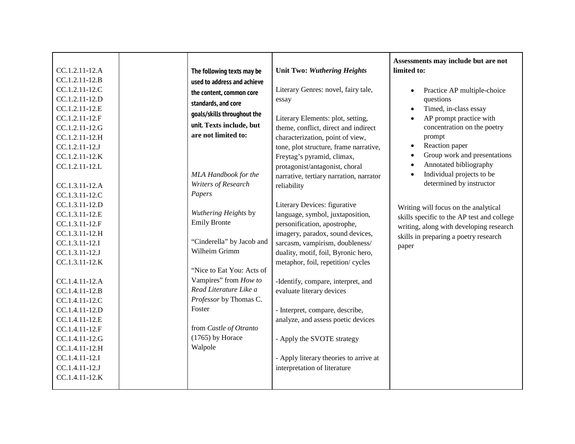|                                  |                                                 |                                         | Assessments may include but are not        |
|----------------------------------|-------------------------------------------------|-----------------------------------------|--------------------------------------------|
| CC.1.2.11-12.A                   | The following texts may be                      | <b>Unit Two: Wuthering Heights</b>      | limited to:                                |
| CC.1.2.11-12.B                   | used to address and achieve                     |                                         |                                            |
| CC.1.2.11-12.C                   | the content, common core                        | Literary Genres: novel, fairy tale,     | Practice AP multiple-choice<br>$\bullet$   |
| CC.1.2.11-12.D                   | standards, and core                             | essay                                   | questions                                  |
| CC.1.2.11-12.E                   |                                                 |                                         | Timed, in-class essay<br>$\bullet$         |
| CC.1.2.11-12.F                   | goals/skills throughout the                     | Literary Elements: plot, setting,       | AP prompt practice with<br>$\bullet$       |
| CC.1.2.11-12.G                   | unit. Texts include, but                        | theme, conflict, direct and indirect    | concentration on the poetry                |
| CC.1.2.11-12.H                   | are not limited to:                             | characterization, point of view,        | prompt                                     |
| CC.1.2.11-12.J                   |                                                 | tone, plot structure, frame narrative,  | Reaction paper<br>$\bullet$                |
| CC.1.2.11-12.K                   |                                                 | Freytag's pyramid, climax,              | Group work and presentations<br>$\bullet$  |
| CC.1.2.11-12.L                   |                                                 | protagonist/antagonist, choral          | Annotated bibliography<br>$\bullet$        |
|                                  | MLA Handbook for the                            | narrative, tertiary narration, narrator | Individual projects to be                  |
| CC.1.3.11-12.A                   | Writers of Research                             | reliability                             | determined by instructor                   |
| CC.1.3.11-12.C                   | Papers                                          |                                         |                                            |
| CC.1.3.11-12.D                   |                                                 | Literary Devices: figurative            | Writing will focus on the analytical       |
| CC.1.3.11-12.E                   | Wuthering Heights by                            | language, symbol, juxtaposition,        | skills specific to the AP test and college |
| CC.1.3.11-12.F                   | <b>Emily Bronte</b>                             | personification, apostrophe,            | writing, along with developing research    |
| CC.1.3.11-12.H                   |                                                 | imagery, paradox, sound devices,        | skills in preparing a poetry research      |
| CC.1.3.11-12.I                   | "Cinderella" by Jacob and                       | sarcasm, vampirism, doubleness/         | paper                                      |
| CC.1.3.11-12.J                   | Wilheim Grimm                                   | duality, motif, foil, Byronic hero,     |                                            |
| CC.1.3.11-12.K                   |                                                 | metaphor, foil, repetition/ cycles      |                                            |
|                                  | "Nice to Eat You: Acts of                       |                                         |                                            |
| CC.1.4.11-12.A                   | Vampires" from How to<br>Read Literature Like a | -Identify, compare, interpret, and      |                                            |
| CC.1.4.11-12.B                   |                                                 | evaluate literary devices               |                                            |
| CC.1.4.11-12.C                   | Professor by Thomas C.<br>Foster                |                                         |                                            |
| CC.1.4.11-12.D                   |                                                 | - Interpret, compare, describe,         |                                            |
| CC.1.4.11-12.E                   | from Castle of Otranto                          | analyze, and assess poetic devices      |                                            |
| CC.1.4.11-12.F                   | $(1765)$ by Horace                              |                                         |                                            |
| CC.1.4.11-12.G                   | Walpole                                         | - Apply the SVOTE strategy              |                                            |
| CC.1.4.11-12.H                   |                                                 |                                         |                                            |
| CC.1.4.11-12.I                   |                                                 | - Apply literary theories to arrive at  |                                            |
| CC.1.4.11-12.J<br>CC.1.4.11-12.K |                                                 | interpretation of literature            |                                            |
|                                  |                                                 |                                         |                                            |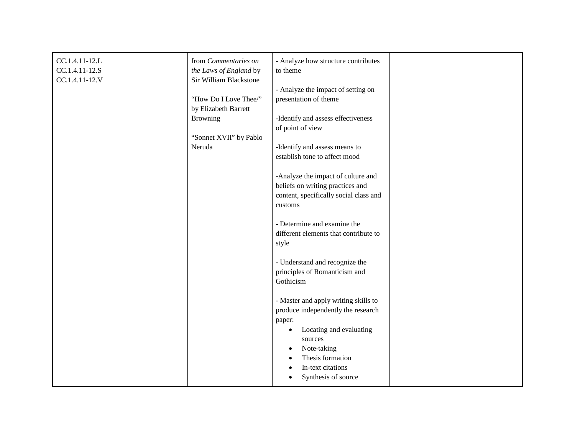| CC.1.4.11-12.L | from Commentaries on   | - Analyze how structure contributes    |  |
|----------------|------------------------|----------------------------------------|--|
| CC.1.4.11-12.S | the Laws of England by | to theme                               |  |
| CC.1.4.11-12.V | Sir William Blackstone |                                        |  |
|                |                        | - Analyze the impact of setting on     |  |
|                | "How Do I Love Thee/"  | presentation of theme                  |  |
|                | by Elizabeth Barrett   |                                        |  |
|                | <b>Browning</b>        | -Identify and assess effectiveness     |  |
|                |                        | of point of view                       |  |
|                | "Sonnet XVII" by Pablo |                                        |  |
|                | Neruda                 | -Identify and assess means to          |  |
|                |                        | establish tone to affect mood          |  |
|                |                        |                                        |  |
|                |                        | -Analyze the impact of culture and     |  |
|                |                        | beliefs on writing practices and       |  |
|                |                        | content, specifically social class and |  |
|                |                        | customs                                |  |
|                |                        |                                        |  |
|                |                        | - Determine and examine the            |  |
|                |                        | different elements that contribute to  |  |
|                |                        | style                                  |  |
|                |                        |                                        |  |
|                |                        | - Understand and recognize the         |  |
|                |                        | principles of Romanticism and          |  |
|                |                        | Gothicism                              |  |
|                |                        |                                        |  |
|                |                        | - Master and apply writing skills to   |  |
|                |                        | produce independently the research     |  |
|                |                        | paper:                                 |  |
|                |                        | Locating and evaluating                |  |
|                |                        | sources                                |  |
|                |                        | Note-taking<br>$\bullet$               |  |
|                |                        | Thesis formation                       |  |
|                |                        | In-text citations                      |  |
|                |                        | Synthesis of source                    |  |
|                |                        |                                        |  |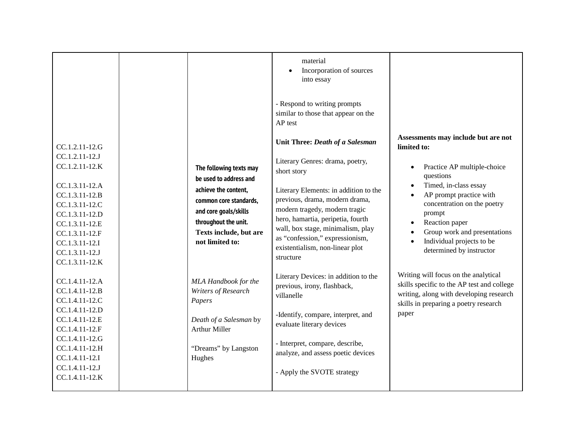|                                                                                                                                                                |                                                                                                                                              | material<br>Incorporation of sources<br>$\bullet$<br>into essay                                                                                                                                                                                                       |                                                                                                                                                                                                                   |
|----------------------------------------------------------------------------------------------------------------------------------------------------------------|----------------------------------------------------------------------------------------------------------------------------------------------|-----------------------------------------------------------------------------------------------------------------------------------------------------------------------------------------------------------------------------------------------------------------------|-------------------------------------------------------------------------------------------------------------------------------------------------------------------------------------------------------------------|
|                                                                                                                                                                |                                                                                                                                              | - Respond to writing prompts<br>similar to those that appear on the<br>AP test                                                                                                                                                                                        |                                                                                                                                                                                                                   |
| CC.1.2.11-12.G                                                                                                                                                 |                                                                                                                                              | Unit Three: Death of a Salesman                                                                                                                                                                                                                                       | Assessments may include but are not<br>limited to:                                                                                                                                                                |
| CC.1.2.11-12.J<br>CC.1.2.11-12.K                                                                                                                               | The following texts may<br>be used to address and                                                                                            | Literary Genres: drama, poetry,<br>short story                                                                                                                                                                                                                        | Practice AP multiple-choice<br>$\bullet$<br>questions                                                                                                                                                             |
| CC.1.3.11-12.A<br>CC.1.3.11-12.B<br>CC.1.3.11-12.C<br>CC.1.3.11-12.D<br>CC.1.3.11-12.E<br>CC.1.3.11-12.F<br>CC.1.3.11-12.I<br>CC.1.3.11-12.J<br>CC.1.3.11-12.K | achieve the content,<br>common core standards,<br>and core goals/skills<br>throughout the unit.<br>Texts include, but are<br>not limited to: | Literary Elements: in addition to the<br>previous, drama, modern drama,<br>modern tragedy, modern tragic<br>hero, hamartia, peripetia, fourth<br>wall, box stage, minimalism, play<br>as "confession," expressionism,<br>existentialism, non-linear plot<br>structure | Timed, in-class essay<br>$\bullet$<br>AP prompt practice with<br>concentration on the poetry<br>prompt<br>Reaction paper<br>Group work and presentations<br>Individual projects to be<br>determined by instructor |
| CC.1.4.11-12.A<br>CC.1.4.11-12.B<br>CC.1.4.11-12.C<br>CC.1.4.11-12.D<br>CC.1.4.11-12.E                                                                         | MLA Handbook for the<br>Writers of Research<br>Papers<br>Death of a Salesman by                                                              | Literary Devices: in addition to the<br>previous, irony, flashback,<br>villanelle<br>-Identify, compare, interpret, and<br>evaluate literary devices                                                                                                                  | Writing will focus on the analytical<br>skills specific to the AP test and college<br>writing, along with developing research<br>skills in preparing a poetry research<br>paper                                   |
| CC.1.4.11-12.F<br>CC.1.4.11-12.G<br>CC.1.4.11-12.H<br>CC.1.4.11-12.I<br>CC.1.4.11-12.J                                                                         | <b>Arthur Miller</b><br>"Dreams" by Langston<br>Hughes                                                                                       | - Interpret, compare, describe,<br>analyze, and assess poetic devices<br>- Apply the SVOTE strategy                                                                                                                                                                   |                                                                                                                                                                                                                   |
| CC.1.4.11-12.K                                                                                                                                                 |                                                                                                                                              |                                                                                                                                                                                                                                                                       |                                                                                                                                                                                                                   |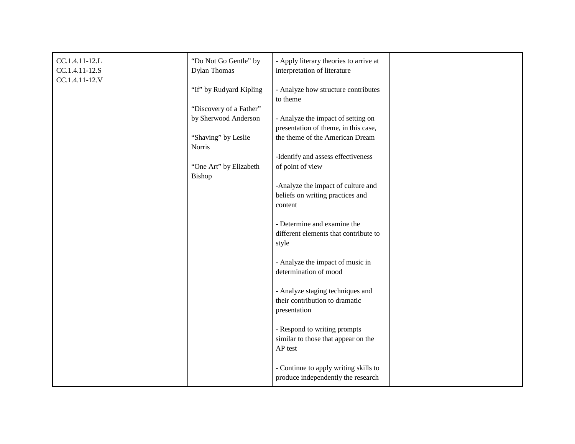| CC.1.4.11-12.L<br>CC.1.4.11-12.S | "Do Not Go Gentle" by<br><b>Dylan Thomas</b> | - Apply literary theories to arrive at<br>interpretation of literature         |  |
|----------------------------------|----------------------------------------------|--------------------------------------------------------------------------------|--|
| CC.1.4.11-12.V                   | "If" by Rudyard Kipling                      | - Analyze how structure contributes<br>to theme                                |  |
|                                  | "Discovery of a Father"                      |                                                                                |  |
|                                  | by Sherwood Anderson                         | - Analyze the impact of setting on                                             |  |
|                                  |                                              | presentation of theme, in this case,                                           |  |
|                                  | "Shaving" by Leslie<br><b>Norris</b>         | the theme of the American Dream                                                |  |
|                                  |                                              | -Identify and assess effectiveness                                             |  |
|                                  | "One Art" by Elizabeth<br>Bishop             | of point of view                                                               |  |
|                                  |                                              | -Analyze the impact of culture and                                             |  |
|                                  |                                              | beliefs on writing practices and                                               |  |
|                                  |                                              | content                                                                        |  |
|                                  |                                              | - Determine and examine the                                                    |  |
|                                  |                                              | different elements that contribute to<br>style                                 |  |
|                                  |                                              | - Analyze the impact of music in                                               |  |
|                                  |                                              | determination of mood                                                          |  |
|                                  |                                              | - Analyze staging techniques and<br>their contribution to dramatic             |  |
|                                  |                                              | presentation                                                                   |  |
|                                  |                                              | - Respond to writing prompts<br>similar to those that appear on the<br>AP test |  |
|                                  |                                              | - Continue to apply writing skills to<br>produce independently the research    |  |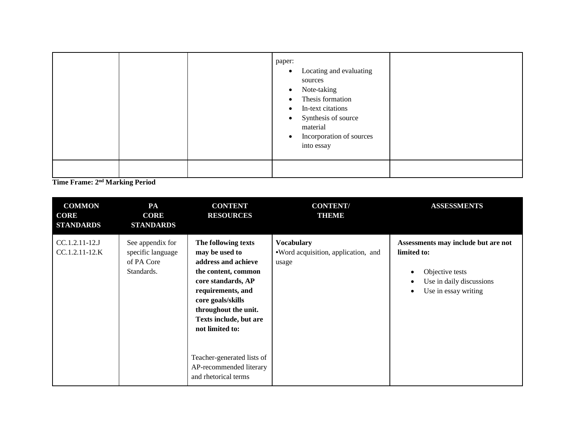|  | paper:<br>Locating and evaluating<br>$\bullet$<br>sources<br>Note-taking<br>$\bullet$<br>Thesis formation<br>$\bullet$<br>In-text citations<br>$\bullet$<br>Synthesis of source<br>$\bullet$<br>material<br>Incorporation of sources<br>$\bullet$<br>into essay |  |
|--|-----------------------------------------------------------------------------------------------------------------------------------------------------------------------------------------------------------------------------------------------------------------|--|
|  |                                                                                                                                                                                                                                                                 |  |

**Time Frame: 2nd Marking Period**

| <b>COMMON</b><br><b>CORE</b><br><b>STANDARDS</b> | PA<br><b>CORE</b><br><b>STANDARDS</b>                             | <b>CONTENT</b><br><b>RESOURCES</b>                                                                                                                                                                                                                                                                        | <b>CONTENT/</b><br>THEMIE                                         | <b>ASSESSMENTS</b>                                                                                                                          |
|--------------------------------------------------|-------------------------------------------------------------------|-----------------------------------------------------------------------------------------------------------------------------------------------------------------------------------------------------------------------------------------------------------------------------------------------------------|-------------------------------------------------------------------|---------------------------------------------------------------------------------------------------------------------------------------------|
| $CC.1.2.11-12.J$<br>CC.1.2.11-12.K               | See appendix for<br>specific language<br>of PA Core<br>Standards. | The following texts<br>may be used to<br>address and achieve<br>the content, common<br>core standards, AP<br>requirements, and<br>core goals/skills<br>throughout the unit.<br>Texts include, but are<br>not limited to:<br>Teacher-generated lists of<br>AP-recommended literary<br>and rhetorical terms | <b>Vocabulary</b><br>•Word acquisition, application, and<br>usage | Assessments may include but are not<br>limited to:<br>Objective tests<br>٠<br>Use in daily discussions<br>Use in essay writing<br>$\bullet$ |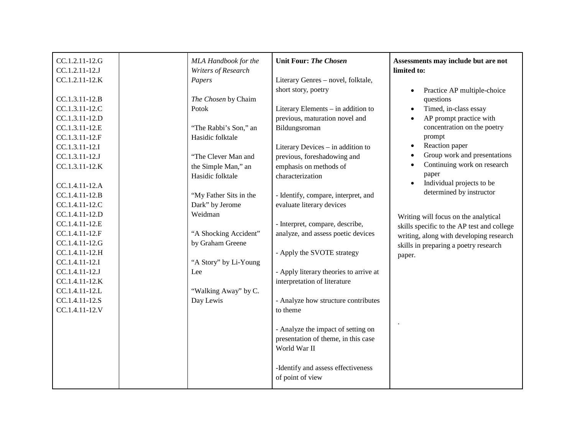| CC.1.2.11-12.G | MLA Handbook for the   | <b>Unit Four: The Chosen</b>           | Assessments may include but are not        |
|----------------|------------------------|----------------------------------------|--------------------------------------------|
| CC.1.2.11-12.J | Writers of Research    |                                        | limited to:                                |
| CC.1.2.11-12.K | Papers                 | Literary Genres - novel, folktale,     |                                            |
|                |                        | short story, poetry                    | Practice AP multiple-choice<br>$\bullet$   |
| CC.1.3.11-12.B | The Chosen by Chaim    |                                        | questions                                  |
| CC.1.3.11-12.C | Potok                  | Literary Elements - in addition to     | Timed, in-class essay<br>$\bullet$         |
| CC.1.3.11-12.D |                        | previous, maturation novel and         | AP prompt practice with                    |
| CC.1.3.11-12.E | "The Rabbi's Son," an  | Bildungsroman                          | concentration on the poetry                |
| CC.1.3.11-12.F | Hasidic folktale       |                                        | prompt                                     |
| CC.1.3.11-12.I |                        | Literary Devices - in addition to      | Reaction paper<br>$\bullet$                |
| CC.1.3.11-12.J | "The Clever Man and    | previous, foreshadowing and            | Group work and presentations               |
| CC.1.3.11-12.K | the Simple Man," an    | emphasis on methods of                 | Continuing work on research                |
|                | Hasidic folktale       | characterization                       | paper                                      |
| CC.1.4.11-12.A |                        |                                        | Individual projects to be<br>$\bullet$     |
| CC.1.4.11-12.B | "My Father Sits in the | - Identify, compare, interpret, and    | determined by instructor                   |
| CC.1.4.11-12.C | Dark" by Jerome        | evaluate literary devices              |                                            |
| CC.1.4.11-12.D | Weidman                |                                        | Writing will focus on the analytical       |
| CC.1.4.11-12.E |                        | - Interpret, compare, describe,        | skills specific to the AP test and college |
| CC.1.4.11-12.F | "A Shocking Accident"  | analyze, and assess poetic devices     | writing, along with developing research    |
| CC.1.4.11-12.G | by Graham Greene       |                                        | skills in preparing a poetry research      |
| CC.1.4.11-12.H |                        | - Apply the SVOTE strategy             | paper.                                     |
| CC.1.4.11-12.I | "A Story" by Li-Young  |                                        |                                            |
| CC.1.4.11-12.J | Lee                    | - Apply literary theories to arrive at |                                            |
| CC.1.4.11-12.K |                        | interpretation of literature           |                                            |
| CC.1.4.11-12.L | "Walking Away" by C.   |                                        |                                            |
| CC.1.4.11-12.S | Day Lewis              | - Analyze how structure contributes    |                                            |
| CC.1.4.11-12.V |                        | to theme                               |                                            |
|                |                        |                                        |                                            |
|                |                        | - Analyze the impact of setting on     |                                            |
|                |                        | presentation of theme, in this case    |                                            |
|                |                        | World War II                           |                                            |
|                |                        |                                        |                                            |
|                |                        | -Identify and assess effectiveness     |                                            |
|                |                        | of point of view                       |                                            |
|                |                        |                                        |                                            |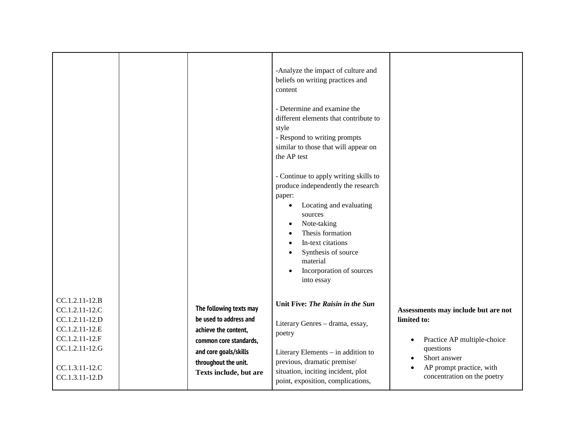|                                                    |                                                   | -Analyze the impact of culture and<br>beliefs on writing practices and<br>content<br>- Determine and examine the<br>different elements that contribute to<br>style<br>- Respond to writing prompts<br>similar to those that will appear on<br>the AP test<br>- Continue to apply writing skills to<br>produce independently the research<br>paper:<br>Locating and evaluating<br>sources<br>Note-taking<br>$\bullet$<br>Thesis formation<br>In-text citations<br>Synthesis of source<br>material<br>Incorporation of sources<br>into essay |                                                    |
|----------------------------------------------------|---------------------------------------------------|--------------------------------------------------------------------------------------------------------------------------------------------------------------------------------------------------------------------------------------------------------------------------------------------------------------------------------------------------------------------------------------------------------------------------------------------------------------------------------------------------------------------------------------------|----------------------------------------------------|
| CC.1.2.11-12.B<br>CC.1.2.11-12.C<br>CC.1.2.11-12.D | The following texts may<br>be used to address and | Unit Five: The Raisin in the Sun                                                                                                                                                                                                                                                                                                                                                                                                                                                                                                           | Assessments may include but are not<br>limited to: |
| CC.1.2.11-12.E                                     | achieve the content,                              | Literary Genres - drama, essay,                                                                                                                                                                                                                                                                                                                                                                                                                                                                                                            |                                                    |
| CC.1.2.11-12.F                                     | common core standards,                            | poetry                                                                                                                                                                                                                                                                                                                                                                                                                                                                                                                                     | Practice AP multiple-choice                        |
| CC.1.2.11-12.G                                     | and core goals/skills                             | Literary Elements - in addition to                                                                                                                                                                                                                                                                                                                                                                                                                                                                                                         | questions                                          |
|                                                    | throughout the unit.                              | previous, dramatic premise/                                                                                                                                                                                                                                                                                                                                                                                                                                                                                                                | Short answer                                       |
| CC.1.3.11-12.C                                     | Texts include, but are                            | situation, inciting incident, plot                                                                                                                                                                                                                                                                                                                                                                                                                                                                                                         | AP prompt practice, with                           |
| CC.1.3.11-12.D                                     |                                                   | point, exposition, complications,                                                                                                                                                                                                                                                                                                                                                                                                                                                                                                          | concentration on the poetry                        |
|                                                    |                                                   |                                                                                                                                                                                                                                                                                                                                                                                                                                                                                                                                            |                                                    |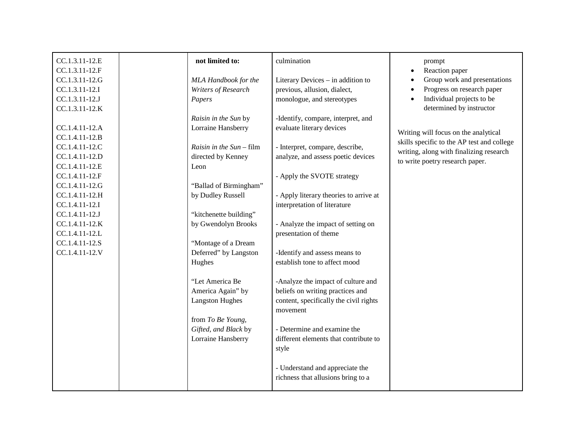| CC.1.3.11-12.E | not limited to:          | culmination                            | prompt                                     |
|----------------|--------------------------|----------------------------------------|--------------------------------------------|
| CC.1.3.11-12.F |                          |                                        | Reaction paper                             |
| CC.1.3.11-12.G | MLA Handbook for the     | Literary Devices - in addition to      | Group work and presentations               |
| CC.1.3.11-12.I | Writers of Research      | previous, allusion, dialect,           | Progress on research paper                 |
| CC.1.3.11-12.J | Papers                   | monologue, and stereotypes             | Individual projects to be                  |
| CC.1.3.11-12.K |                          |                                        | determined by instructor                   |
|                | Raisin in the Sun by     | -Identify, compare, interpret, and     |                                            |
| CC.1.4.11-12.A | Lorraine Hansberry       | evaluate literary devices              |                                            |
| CC.1.4.11-12.B |                          |                                        | Writing will focus on the analytical       |
| CC.1.4.11-12.C | Raisin in the Sun - film | - Interpret, compare, describe,        | skills specific to the AP test and college |
| CC.1.4.11-12.D | directed by Kenney       | analyze, and assess poetic devices     | writing, along with finalizing research    |
| CC.1.4.11-12.E | Leon                     |                                        | to write poetry research paper.            |
| CC.1.4.11-12.F |                          | - Apply the SVOTE strategy             |                                            |
| CC.1.4.11-12.G | "Ballad of Birmingham"   |                                        |                                            |
| CC.1.4.11-12.H | by Dudley Russell        | - Apply literary theories to arrive at |                                            |
| CC.1.4.11-12.I |                          | interpretation of literature           |                                            |
| CC.1.4.11-12.J | "kitchenette building"   |                                        |                                            |
| CC.1.4.11-12.K | by Gwendolyn Brooks      | - Analyze the impact of setting on     |                                            |
| CC.1.4.11-12.L |                          | presentation of theme                  |                                            |
| CC.1.4.11-12.S | "Montage of a Dream      |                                        |                                            |
| CC.1.4.11-12.V | Deferred" by Langston    | -Identify and assess means to          |                                            |
|                | Hughes                   | establish tone to affect mood          |                                            |
|                | "Let America Be          | -Analyze the impact of culture and     |                                            |
|                | America Again" by        | beliefs on writing practices and       |                                            |
|                | <b>Langston Hughes</b>   | content, specifically the civil rights |                                            |
|                |                          | movement                               |                                            |
|                | from To Be Young,        |                                        |                                            |
|                | Gifted, and Black by     | - Determine and examine the            |                                            |
|                | Lorraine Hansberry       | different elements that contribute to  |                                            |
|                |                          | style                                  |                                            |
|                |                          | - Understand and appreciate the        |                                            |
|                |                          | richness that allusions bring to a     |                                            |
|                |                          |                                        |                                            |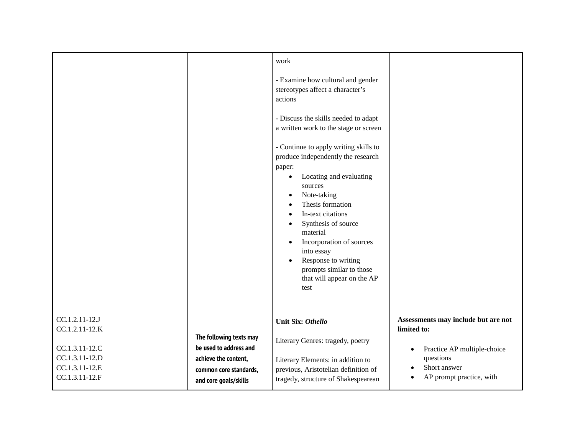|                                                                                                          |                                                                                                                              | work<br>- Examine how cultural and gender<br>stereotypes affect a character's<br>actions<br>- Discuss the skills needed to adapt<br>a written work to the stage or screen<br>- Continue to apply writing skills to<br>produce independently the research<br>paper:<br>Locating and evaluating<br>$\bullet$<br>sources<br>Note-taking<br>$\bullet$<br>Thesis formation<br>$\bullet$<br>In-text citations<br>$\bullet$<br>Synthesis of source<br>$\bullet$<br>material<br>Incorporation of sources<br>$\bullet$<br>into essay<br>Response to writing<br>$\bullet$<br>prompts similar to those<br>that will appear on the AP<br>test |                                                                                                                                            |
|----------------------------------------------------------------------------------------------------------|------------------------------------------------------------------------------------------------------------------------------|-----------------------------------------------------------------------------------------------------------------------------------------------------------------------------------------------------------------------------------------------------------------------------------------------------------------------------------------------------------------------------------------------------------------------------------------------------------------------------------------------------------------------------------------------------------------------------------------------------------------------------------|--------------------------------------------------------------------------------------------------------------------------------------------|
| CC.1.2.11-12.J<br>CC.1.2.11-12.K<br>CC.1.3.11-12.C<br>CC.1.3.11-12.D<br>CC.1.3.11-12.E<br>CC.1.3.11-12.F | The following texts may<br>be used to address and<br>achieve the content,<br>common core standards,<br>and core goals/skills | <b>Unit Six: Othello</b><br>Literary Genres: tragedy, poetry<br>Literary Elements: in addition to<br>previous, Aristotelian definition of<br>tragedy, structure of Shakespearean                                                                                                                                                                                                                                                                                                                                                                                                                                                  | Assessments may include but are not<br>limited to:<br>Practice AP multiple-choice<br>questions<br>Short answer<br>AP prompt practice, with |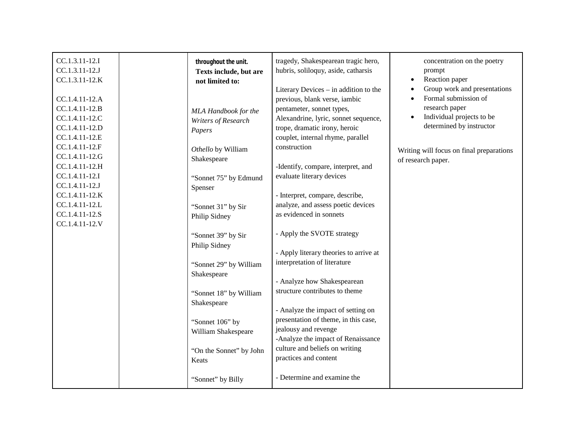| CC.1.3.11-12.I<br>CC.1.3.11-12.J<br>CC.1.3.11-12.K<br>CC.1.4.11-12.A                                                       | throughout the unit.<br>Texts include, but are<br>not limited to:                                                   | tragedy, Shakespearean tragic hero,<br>hubris, soliloquy, aside, catharsis<br>Literary Devices – in addition to the<br>previous, blank verse, iambic                                                                                                                 | concentration on the poetry<br>prompt<br>Reaction paper<br>$\bullet$<br>Group work and presentations<br>Formal submission of                           |
|----------------------------------------------------------------------------------------------------------------------------|---------------------------------------------------------------------------------------------------------------------|----------------------------------------------------------------------------------------------------------------------------------------------------------------------------------------------------------------------------------------------------------------------|--------------------------------------------------------------------------------------------------------------------------------------------------------|
| CC.1.4.11-12.B<br>CC.1.4.11-12.C<br>CC.1.4.11-12.D<br>CC.1.4.11-12.E<br>CC.1.4.11-12.F<br>CC.1.4.11-12.G                   | MLA Handbook for the<br>Writers of Research<br>Papers<br>Othello by William<br>Shakespeare                          | pentameter, sonnet types,<br>Alexandrine, lyric, sonnet sequence,<br>trope, dramatic irony, heroic<br>couplet, internal rhyme, parallel<br>construction                                                                                                              | research paper<br>Individual projects to be<br>$\bullet$<br>determined by instructor<br>Writing will focus on final preparations<br>of research paper. |
| CC.1.4.11-12.H<br>CC.1.4.11-12.I<br>CC.1.4.11-12.J<br>CC.1.4.11-12.K<br>CC.1.4.11-12.L<br>CC.1.4.11-12.S<br>CC.1.4.11-12.V | "Sonnet 75" by Edmund<br>Spenser<br>"Sonnet 31" by Sir<br>Philip Sidney                                             | -Identify, compare, interpret, and<br>evaluate literary devices<br>- Interpret, compare, describe,<br>analyze, and assess poetic devices<br>as evidenced in sonnets                                                                                                  |                                                                                                                                                        |
|                                                                                                                            | "Sonnet 39" by Sir<br>Philip Sidney<br>"Sonnet 29" by William<br>Shakespeare                                        | - Apply the SVOTE strategy<br>- Apply literary theories to arrive at<br>interpretation of literature                                                                                                                                                                 |                                                                                                                                                        |
|                                                                                                                            | "Sonnet 18" by William<br>Shakespeare<br>"Sonnet 106" by<br>William Shakespeare<br>"On the Sonnet" by John<br>Keats | - Analyze how Shakespearean<br>structure contributes to theme<br>- Analyze the impact of setting on<br>presentation of theme, in this case,<br>jealousy and revenge<br>-Analyze the impact of Renaissance<br>culture and beliefs on writing<br>practices and content |                                                                                                                                                        |
|                                                                                                                            | "Sonnet" by Billy                                                                                                   | - Determine and examine the                                                                                                                                                                                                                                          |                                                                                                                                                        |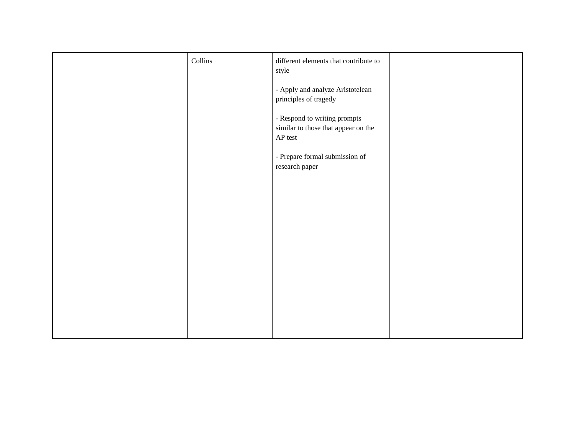|  | $\operatorname{Collins}$ | different elements that contribute to<br>style                                         |  |
|--|--------------------------|----------------------------------------------------------------------------------------|--|
|  |                          | - Apply and analyze Aristotelean<br>principles of tragedy                              |  |
|  |                          | - Respond to writing prompts<br>similar to those that appear on the<br>${\sf AP}$ test |  |
|  |                          | - Prepare formal submission of<br>research paper                                       |  |
|  |                          |                                                                                        |  |
|  |                          |                                                                                        |  |
|  |                          |                                                                                        |  |
|  |                          |                                                                                        |  |
|  |                          |                                                                                        |  |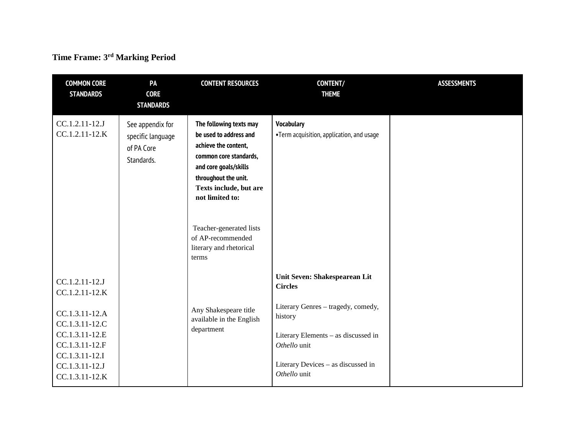## **Time Frame: 3rd Marking Period**

| <b>COMMON CORE</b><br><b>STANDARDS</b>                                                                                                                         | PA<br><b>CORE</b><br><b>STANDARDS</b>                             | <b>CONTENT RESOURCES</b>                                                                                                                                                                          | <b>CONTENT/</b><br><b>THEME</b>                                                                                                                                                                               | <b>ASSESSMENTS</b> |
|----------------------------------------------------------------------------------------------------------------------------------------------------------------|-------------------------------------------------------------------|---------------------------------------------------------------------------------------------------------------------------------------------------------------------------------------------------|---------------------------------------------------------------------------------------------------------------------------------------------------------------------------------------------------------------|--------------------|
| CC.1.2.11-12.J<br>$CC.1.2.11-12.K$                                                                                                                             | See appendix for<br>specific language<br>of PA Core<br>Standards. | The following texts may<br>be used to address and<br>achieve the content,<br>common core standards,<br>and core goals/skills<br>throughout the unit.<br>Texts include, but are<br>not limited to: | <b>Vocabulary</b><br>•Term acquisition, application, and usage                                                                                                                                                |                    |
|                                                                                                                                                                |                                                                   | Teacher-generated lists<br>of AP-recommended<br>literary and rhetorical<br>terms                                                                                                                  |                                                                                                                                                                                                               |                    |
| CC.1.2.11-12.J<br>CC.1.2.11-12.K<br>CC.1.3.11-12.A<br>CC.1.3.11-12.C<br>CC.1.3.11-12.E<br>CC.1.3.11-12.F<br>CC.1.3.11-12.I<br>CC.1.3.11-12.J<br>CC.1.3.11-12.K |                                                                   | Any Shakespeare title<br>available in the English<br>department                                                                                                                                   | Unit Seven: Shakespearean Lit<br><b>Circles</b><br>Literary Genres - tragedy, comedy,<br>history<br>Literary Elements - as discussed in<br>Othello unit<br>Literary Devices - as discussed in<br>Othello unit |                    |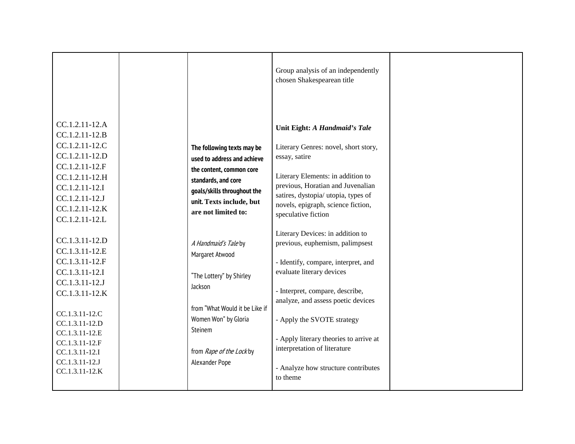|                                                                                                                                                                                                                                        |                                                                                                                                                                                                  | Group analysis of an independently<br>chosen Shakespearean title                                                                                                                                                                                                                                                                                                            |  |
|----------------------------------------------------------------------------------------------------------------------------------------------------------------------------------------------------------------------------------------|--------------------------------------------------------------------------------------------------------------------------------------------------------------------------------------------------|-----------------------------------------------------------------------------------------------------------------------------------------------------------------------------------------------------------------------------------------------------------------------------------------------------------------------------------------------------------------------------|--|
| CC.1.2.11-12.A<br>CC.1.2.11-12.B<br>CC.1.2.11-12.C<br>CC.1.2.11-12.D<br>CC.1.2.11-12.F<br>CC.1.2.11-12.H<br>CC.1.2.11-12.I<br>CC.1.2.11-12.J<br>CC.1.2.11-12.K<br>CC.1.2.11-12.L                                                       | The following texts may be<br>used to address and achieve<br>the content, common core<br>standards, and core<br>goals/skills throughout the<br>unit. Texts include, but<br>are not limited to:   | Unit Eight: A Handmaid's Tale<br>Literary Genres: novel, short story,<br>essay, satire<br>Literary Elements: in addition to<br>previous, Horatian and Juvenalian<br>satires, dystopia/ utopia, types of<br>novels, epigraph, science fiction,<br>speculative fiction                                                                                                        |  |
| CC.1.3.11-12.D<br>CC.1.3.11-12.E<br>CC.1.3.11-12.F<br>CC.1.3.11-12.I<br>CC.1.3.11-12.J<br>CC.1.3.11-12.K<br>CC.1.3.11-12.C<br>CC.1.3.11-12.D<br>CC.1.3.11-12.E<br>CC.1.3.11-12.F<br>CC.1.3.11-12.I<br>CC.1.3.11-12.J<br>CC.1.3.11-12.K | A Handmaid's Taleby<br>Margaret Atwood<br>"The Lottery" by Shirley<br>Jackson<br>from "What Would it be Like if<br>Women Won" by Gloria<br>Steinem<br>from Rape of the Lock by<br>Alexander Pope | Literary Devices: in addition to<br>previous, euphemism, palimpsest<br>- Identify, compare, interpret, and<br>evaluate literary devices<br>- Interpret, compare, describe,<br>analyze, and assess poetic devices<br>- Apply the SVOTE strategy<br>- Apply literary theories to arrive at<br>interpretation of literature<br>- Analyze how structure contributes<br>to theme |  |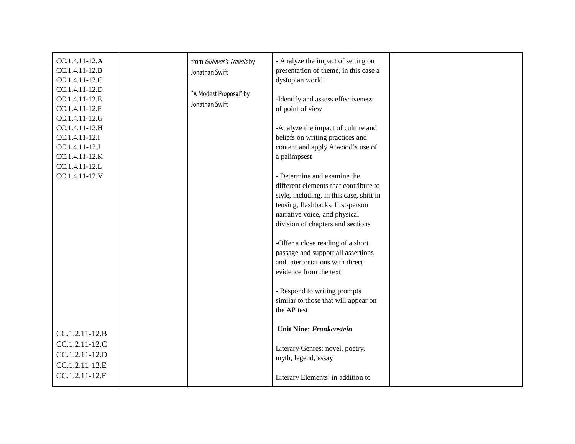| CC.1.4.11-12.A | from Gulliver's Travels by | - Analyze the impact of setting on       |  |
|----------------|----------------------------|------------------------------------------|--|
| CC.1.4.11-12.B | Jonathan Swift             | presentation of theme, in this case a    |  |
| CC.1.4.11-12.C |                            | dystopian world                          |  |
| CC.1.4.11-12.D | "A Modest Proposal" by     |                                          |  |
| CC.1.4.11-12.E | Jonathan Swift             | -Identify and assess effectiveness       |  |
| CC.1.4.11-12.F |                            | of point of view                         |  |
| CC.1.4.11-12.G |                            |                                          |  |
| CC.1.4.11-12.H |                            | -Analyze the impact of culture and       |  |
| CC.1.4.11-12.I |                            | beliefs on writing practices and         |  |
| CC.1.4.11-12.J |                            | content and apply Atwood's use of        |  |
| CC.1.4.11-12.K |                            | a palimpsest                             |  |
| CC.1.4.11-12.L |                            |                                          |  |
| CC.1.4.11-12.V |                            | - Determine and examine the              |  |
|                |                            | different elements that contribute to    |  |
|                |                            | style, including, in this case, shift in |  |
|                |                            | tensing, flashbacks, first-person        |  |
|                |                            | narrative voice, and physical            |  |
|                |                            | division of chapters and sections        |  |
|                |                            |                                          |  |
|                |                            | -Offer a close reading of a short        |  |
|                |                            | passage and support all assertions       |  |
|                |                            | and interpretations with direct          |  |
|                |                            | evidence from the text                   |  |
|                |                            |                                          |  |
|                |                            | - Respond to writing prompts             |  |
|                |                            | similar to those that will appear on     |  |
|                |                            | the AP test                              |  |
|                |                            |                                          |  |
| CC.1.2.11-12.B |                            | <b>Unit Nine: Frankenstein</b>           |  |
| CC.1.2.11-12.C |                            |                                          |  |
|                |                            | Literary Genres: novel, poetry,          |  |
| CC.1.2.11-12.D |                            | myth, legend, essay                      |  |
| CC.1.2.11-12.E |                            |                                          |  |
| CC.1.2.11-12.F |                            | Literary Elements: in addition to        |  |
|                |                            |                                          |  |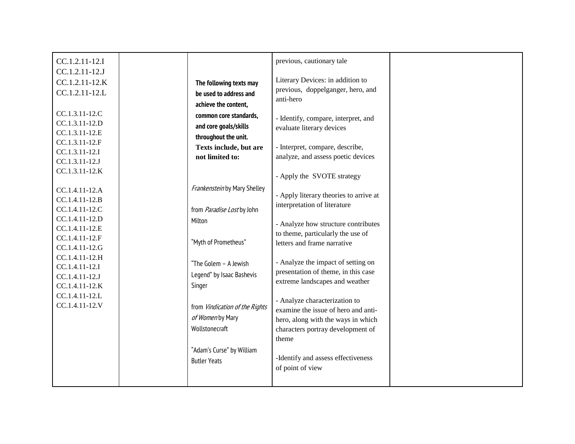|                                | previous, cautionary tale                                                                                                                                                                                                                                                                                                                                                                    |                                                                                                                                                                                                                                                                                                                                                                                                                                                                                                                                                                                                                                              |
|--------------------------------|----------------------------------------------------------------------------------------------------------------------------------------------------------------------------------------------------------------------------------------------------------------------------------------------------------------------------------------------------------------------------------------------|----------------------------------------------------------------------------------------------------------------------------------------------------------------------------------------------------------------------------------------------------------------------------------------------------------------------------------------------------------------------------------------------------------------------------------------------------------------------------------------------------------------------------------------------------------------------------------------------------------------------------------------------|
|                                |                                                                                                                                                                                                                                                                                                                                                                                              |                                                                                                                                                                                                                                                                                                                                                                                                                                                                                                                                                                                                                                              |
|                                |                                                                                                                                                                                                                                                                                                                                                                                              |                                                                                                                                                                                                                                                                                                                                                                                                                                                                                                                                                                                                                                              |
|                                |                                                                                                                                                                                                                                                                                                                                                                                              |                                                                                                                                                                                                                                                                                                                                                                                                                                                                                                                                                                                                                                              |
|                                |                                                                                                                                                                                                                                                                                                                                                                                              |                                                                                                                                                                                                                                                                                                                                                                                                                                                                                                                                                                                                                                              |
|                                |                                                                                                                                                                                                                                                                                                                                                                                              |                                                                                                                                                                                                                                                                                                                                                                                                                                                                                                                                                                                                                                              |
|                                |                                                                                                                                                                                                                                                                                                                                                                                              |                                                                                                                                                                                                                                                                                                                                                                                                                                                                                                                                                                                                                                              |
|                                |                                                                                                                                                                                                                                                                                                                                                                                              |                                                                                                                                                                                                                                                                                                                                                                                                                                                                                                                                                                                                                                              |
|                                |                                                                                                                                                                                                                                                                                                                                                                                              |                                                                                                                                                                                                                                                                                                                                                                                                                                                                                                                                                                                                                                              |
|                                |                                                                                                                                                                                                                                                                                                                                                                                              |                                                                                                                                                                                                                                                                                                                                                                                                                                                                                                                                                                                                                                              |
|                                |                                                                                                                                                                                                                                                                                                                                                                                              |                                                                                                                                                                                                                                                                                                                                                                                                                                                                                                                                                                                                                                              |
|                                | - Apply the SVOTE strategy                                                                                                                                                                                                                                                                                                                                                                   |                                                                                                                                                                                                                                                                                                                                                                                                                                                                                                                                                                                                                                              |
| Frankenstein by Mary Shelley   |                                                                                                                                                                                                                                                                                                                                                                                              |                                                                                                                                                                                                                                                                                                                                                                                                                                                                                                                                                                                                                                              |
|                                | - Apply literary theories to arrive at                                                                                                                                                                                                                                                                                                                                                       |                                                                                                                                                                                                                                                                                                                                                                                                                                                                                                                                                                                                                                              |
|                                |                                                                                                                                                                                                                                                                                                                                                                                              |                                                                                                                                                                                                                                                                                                                                                                                                                                                                                                                                                                                                                                              |
|                                |                                                                                                                                                                                                                                                                                                                                                                                              |                                                                                                                                                                                                                                                                                                                                                                                                                                                                                                                                                                                                                                              |
|                                |                                                                                                                                                                                                                                                                                                                                                                                              |                                                                                                                                                                                                                                                                                                                                                                                                                                                                                                                                                                                                                                              |
|                                |                                                                                                                                                                                                                                                                                                                                                                                              |                                                                                                                                                                                                                                                                                                                                                                                                                                                                                                                                                                                                                                              |
|                                |                                                                                                                                                                                                                                                                                                                                                                                              |                                                                                                                                                                                                                                                                                                                                                                                                                                                                                                                                                                                                                                              |
|                                |                                                                                                                                                                                                                                                                                                                                                                                              |                                                                                                                                                                                                                                                                                                                                                                                                                                                                                                                                                                                                                                              |
|                                |                                                                                                                                                                                                                                                                                                                                                                                              |                                                                                                                                                                                                                                                                                                                                                                                                                                                                                                                                                                                                                                              |
|                                |                                                                                                                                                                                                                                                                                                                                                                                              |                                                                                                                                                                                                                                                                                                                                                                                                                                                                                                                                                                                                                                              |
|                                |                                                                                                                                                                                                                                                                                                                                                                                              |                                                                                                                                                                                                                                                                                                                                                                                                                                                                                                                                                                                                                                              |
|                                |                                                                                                                                                                                                                                                                                                                                                                                              |                                                                                                                                                                                                                                                                                                                                                                                                                                                                                                                                                                                                                                              |
| from Vindication of the Rights |                                                                                                                                                                                                                                                                                                                                                                                              |                                                                                                                                                                                                                                                                                                                                                                                                                                                                                                                                                                                                                                              |
| of Women by Mary               |                                                                                                                                                                                                                                                                                                                                                                                              |                                                                                                                                                                                                                                                                                                                                                                                                                                                                                                                                                                                                                                              |
| Wollstonecraft                 |                                                                                                                                                                                                                                                                                                                                                                                              |                                                                                                                                                                                                                                                                                                                                                                                                                                                                                                                                                                                                                                              |
|                                | theme                                                                                                                                                                                                                                                                                                                                                                                        |                                                                                                                                                                                                                                                                                                                                                                                                                                                                                                                                                                                                                                              |
|                                |                                                                                                                                                                                                                                                                                                                                                                                              |                                                                                                                                                                                                                                                                                                                                                                                                                                                                                                                                                                                                                                              |
|                                | -Identify and assess effectiveness                                                                                                                                                                                                                                                                                                                                                           |                                                                                                                                                                                                                                                                                                                                                                                                                                                                                                                                                                                                                                              |
|                                | of point of view                                                                                                                                                                                                                                                                                                                                                                             |                                                                                                                                                                                                                                                                                                                                                                                                                                                                                                                                                                                                                                              |
|                                |                                                                                                                                                                                                                                                                                                                                                                                              |                                                                                                                                                                                                                                                                                                                                                                                                                                                                                                                                                                                                                                              |
|                                | The following texts may<br>be used to address and<br>achieve the content,<br>common core standards,<br>and core goals/skills<br>throughout the unit.<br><b>Texts include, but are</b><br>not limited to:<br>from Paradise Lost by John<br>Milton<br>"Myth of Prometheus"<br>"The Golem - A Jewish<br>Legend" by Isaac Bashevis<br>Singer<br>"Adam's Curse" by William<br><b>Butler Yeats</b> | Literary Devices: in addition to<br>previous, doppelganger, hero, and<br>anti-hero<br>- Identify, compare, interpret, and<br>evaluate literary devices<br>- Interpret, compare, describe,<br>analyze, and assess poetic devices<br>interpretation of literature<br>- Analyze how structure contributes<br>to theme, particularly the use of<br>letters and frame narrative<br>- Analyze the impact of setting on<br>presentation of theme, in this case<br>extreme landscapes and weather<br>- Analyze characterization to<br>examine the issue of hero and anti-<br>hero, along with the ways in which<br>characters portray development of |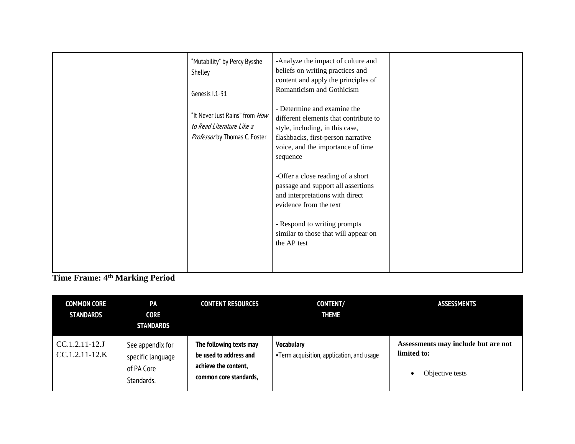|  | "Mutability" by Percy Bysshe<br>Shelley<br>Genesis I.1-31<br>"It Never Just Rains" from How<br>to Read Literature Like a<br>Professor by Thomas C. Foster | -Analyze the impact of culture and<br>beliefs on writing practices and<br>content and apply the principles of<br>Romanticism and Gothicism<br>- Determine and examine the<br>different elements that contribute to<br>style, including, in this case,<br>flashbacks, first-person narrative<br>voice, and the importance of time<br>sequence<br>-Offer a close reading of a short<br>passage and support all assertions<br>and interpretations with direct<br>evidence from the text<br>- Respond to writing prompts<br>similar to those that will appear on<br>the AP test |  |
|--|-----------------------------------------------------------------------------------------------------------------------------------------------------------|-----------------------------------------------------------------------------------------------------------------------------------------------------------------------------------------------------------------------------------------------------------------------------------------------------------------------------------------------------------------------------------------------------------------------------------------------------------------------------------------------------------------------------------------------------------------------------|--|
|--|-----------------------------------------------------------------------------------------------------------------------------------------------------------|-----------------------------------------------------------------------------------------------------------------------------------------------------------------------------------------------------------------------------------------------------------------------------------------------------------------------------------------------------------------------------------------------------------------------------------------------------------------------------------------------------------------------------------------------------------------------------|--|

**Time Frame: 4th Marking Period**

| <b>COMMON CORE</b><br><b>STANDARDS</b> | <b>PA</b><br><b>CORE</b><br><b>STANDARDS</b>                      | <b>CONTENT RESOURCES</b>                                                                            | <b>CONTENT/</b><br><b>THEME</b>                                | <b>ASSESSMENTS</b>                                                    |
|----------------------------------------|-------------------------------------------------------------------|-----------------------------------------------------------------------------------------------------|----------------------------------------------------------------|-----------------------------------------------------------------------|
| $CC.1.2.11-12.J$<br>$CC.1.2.11-12.K$   | See appendix for<br>specific language<br>of PA Core<br>Standards. | The following texts may<br>be used to address and<br>achieve the content,<br>common core standards, | <b>Vocabulary</b><br>•Term acquisition, application, and usage | Assessments may include but are not<br>limited to:<br>Objective tests |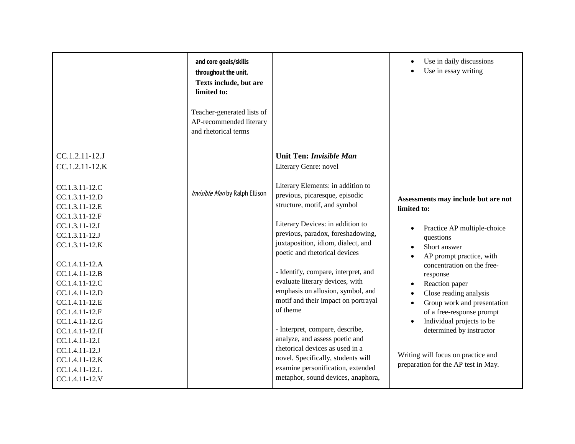|                                                                                                                                                                                                                                                                                              | and core goals/skills<br>throughout the unit.<br><b>Texts include, but are</b><br>limited to:<br>Teacher-generated lists of<br>AP-recommended literary<br>and rhetorical terms |                                                                                                                                                                                                                                                                                                                                                                                                                                                                                  | Use in daily discussions<br>Use in essay writing                                                                                                                                                                                                                                                                          |
|----------------------------------------------------------------------------------------------------------------------------------------------------------------------------------------------------------------------------------------------------------------------------------------------|--------------------------------------------------------------------------------------------------------------------------------------------------------------------------------|----------------------------------------------------------------------------------------------------------------------------------------------------------------------------------------------------------------------------------------------------------------------------------------------------------------------------------------------------------------------------------------------------------------------------------------------------------------------------------|---------------------------------------------------------------------------------------------------------------------------------------------------------------------------------------------------------------------------------------------------------------------------------------------------------------------------|
| CC.1.2.11-12.J<br>CC.1.2.11-12.K<br>CC.1.3.11-12.C<br>CC.1.3.11-12.D<br>CC.1.3.11-12.E<br>CC.1.3.11-12.F<br>CC.1.3.11-12.I<br>CC.1.3.11-12.J<br>CC.1.3.11-12.K<br>CC.1.4.11-12.A<br>CC.1.4.11-12.B<br>CC.1.4.11-12.C<br>CC.1.4.11-12.D<br>CC.1.4.11-12.E<br>CC.1.4.11-12.F<br>CC.1.4.11-12.G | Invisible Man by Ralph Ellison                                                                                                                                                 | <b>Unit Ten: Invisible Man</b><br>Literary Genre: novel<br>Literary Elements: in addition to<br>previous, picaresque, episodic<br>structure, motif, and symbol<br>Literary Devices: in addition to<br>previous, paradox, foreshadowing,<br>juxtaposition, idiom, dialect, and<br>poetic and rhetorical devices<br>- Identify, compare, interpret, and<br>evaluate literary devices, with<br>emphasis on allusion, symbol, and<br>motif and their impact on portrayal<br>of theme | Assessments may include but are not<br>limited to:<br>Practice AP multiple-choice<br>questions<br>Short answer<br>AP prompt practice, with<br>concentration on the free-<br>response<br>Reaction paper<br>Close reading analysis<br>Group work and presentation<br>of a free-response prompt<br>Individual projects to be |
| CC.1.4.11-12.H<br>CC.1.4.11-12.I<br>CC.1.4.11-12.J<br>CC.1.4.11-12.K<br>CC.1.4.11-12.L<br>CC.1.4.11-12.V                                                                                                                                                                                     |                                                                                                                                                                                | - Interpret, compare, describe,<br>analyze, and assess poetic and<br>rhetorical devices as used in a<br>novel. Specifically, students will<br>examine personification, extended<br>metaphor, sound devices, anaphora,                                                                                                                                                                                                                                                            | determined by instructor<br>Writing will focus on practice and<br>preparation for the AP test in May.                                                                                                                                                                                                                     |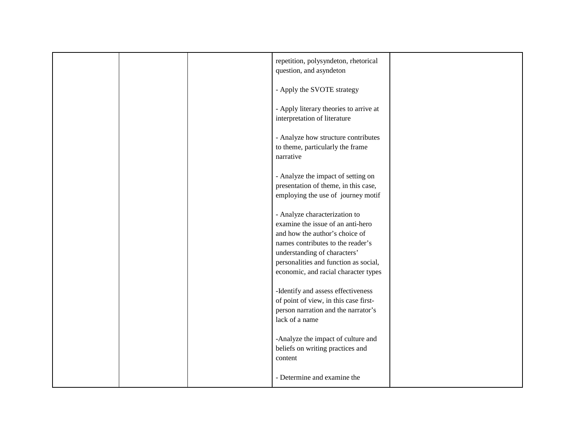|  | repetition, polysyndeton, rhetorical<br>question, and asyndeton                                                                                                                                                                                            |  |
|--|------------------------------------------------------------------------------------------------------------------------------------------------------------------------------------------------------------------------------------------------------------|--|
|  | - Apply the SVOTE strategy                                                                                                                                                                                                                                 |  |
|  | - Apply literary theories to arrive at<br>interpretation of literature                                                                                                                                                                                     |  |
|  | - Analyze how structure contributes<br>to theme, particularly the frame<br>narrative                                                                                                                                                                       |  |
|  | - Analyze the impact of setting on<br>presentation of theme, in this case,<br>employing the use of journey motif                                                                                                                                           |  |
|  | - Analyze characterization to<br>examine the issue of an anti-hero<br>and how the author's choice of<br>names contributes to the reader's<br>understanding of characters'<br>personalities and function as social,<br>economic, and racial character types |  |
|  | -Identify and assess effectiveness<br>of point of view, in this case first-<br>person narration and the narrator's<br>lack of a name                                                                                                                       |  |
|  | -Analyze the impact of culture and<br>beliefs on writing practices and<br>content                                                                                                                                                                          |  |
|  | - Determine and examine the                                                                                                                                                                                                                                |  |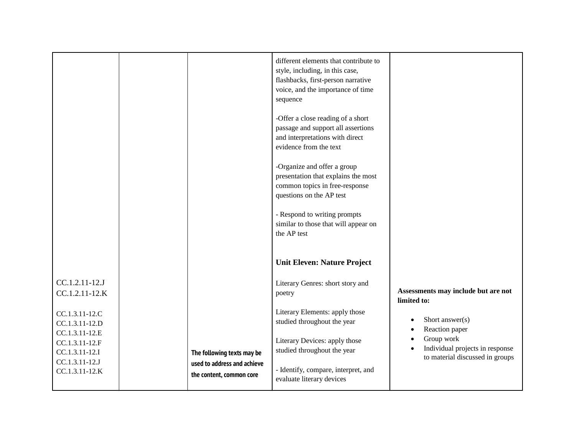|                |                             | different elements that contribute to |                                     |
|----------------|-----------------------------|---------------------------------------|-------------------------------------|
|                |                             | style, including, in this case,       |                                     |
|                |                             | flashbacks, first-person narrative    |                                     |
|                |                             | voice, and the importance of time     |                                     |
|                |                             | sequence                              |                                     |
|                |                             |                                       |                                     |
|                |                             | -Offer a close reading of a short     |                                     |
|                |                             | passage and support all assertions    |                                     |
|                |                             | and interpretations with direct       |                                     |
|                |                             | evidence from the text                |                                     |
|                |                             | -Organize and offer a group           |                                     |
|                |                             | presentation that explains the most   |                                     |
|                |                             | common topics in free-response        |                                     |
|                |                             | questions on the AP test              |                                     |
|                |                             |                                       |                                     |
|                |                             | - Respond to writing prompts          |                                     |
|                |                             | similar to those that will appear on  |                                     |
|                |                             | the AP test                           |                                     |
|                |                             |                                       |                                     |
|                |                             | <b>Unit Eleven: Nature Project</b>    |                                     |
|                |                             |                                       |                                     |
| CC.1.2.11-12.J |                             | Literary Genres: short story and      |                                     |
| CC.1.2.11-12.K |                             | poetry                                | Assessments may include but are not |
|                |                             |                                       | limited to:                         |
| CC.1.3.11-12.C |                             | Literary Elements: apply those        |                                     |
| CC.1.3.11-12.D |                             | studied throughout the year           | Short answer(s)                     |
| CC.1.3.11-12.E |                             |                                       | Reaction paper<br>Group work        |
| CC.1.3.11-12.F |                             | Literary Devices: apply those         | Individual projects in response     |
| CC.1.3.11-12.I | The following texts may be  | studied throughout the year           | to material discussed in groups     |
| CC.1.3.11-12.J | used to address and achieve |                                       |                                     |
| CC.1.3.11-12.K | the content, common core    | - Identify, compare, interpret, and   |                                     |
|                |                             | evaluate literary devices             |                                     |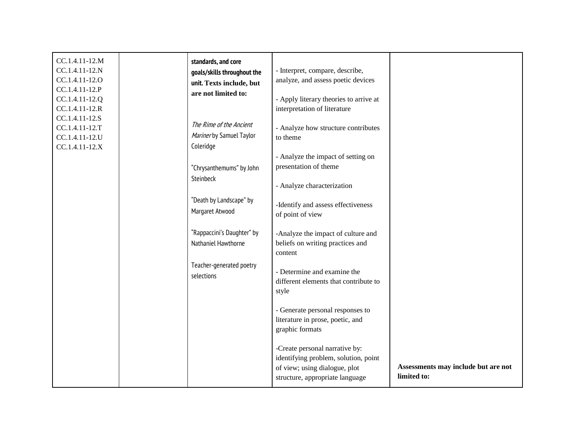| CC.1.4.11-12.M<br>CC.1.4.11-12.N<br>CC.1.4.11-12.0<br>CC.1.4.11-12.P<br>CC.1.4.11-12.Q<br>CC.1.4.11-12.R | standards, and core<br>goals/skills throughout the<br>unit. Texts include, but<br>are not limited to: | - Interpret, compare, describe,<br>analyze, and assess poetic devices<br>- Apply literary theories to arrive at<br>interpretation of literature |                                                    |
|----------------------------------------------------------------------------------------------------------|-------------------------------------------------------------------------------------------------------|-------------------------------------------------------------------------------------------------------------------------------------------------|----------------------------------------------------|
| CC.1.4.11-12.S<br>CC.1.4.11-12.T<br>CC.1.4.11-12.U<br>CC.1.4.11-12.X                                     | The Rime of the Ancient<br>Mariner by Samuel Taylor<br>Coleridge                                      | - Analyze how structure contributes<br>to theme<br>- Analyze the impact of setting on                                                           |                                                    |
|                                                                                                          | "Chrysanthemums" by John<br>Steinbeck                                                                 | presentation of theme<br>- Analyze characterization                                                                                             |                                                    |
|                                                                                                          | "Death by Landscape" by<br>Margaret Atwood                                                            | -Identify and assess effectiveness<br>of point of view                                                                                          |                                                    |
|                                                                                                          | "Rappaccini's Daughter" by<br>Nathaniel Hawthorne                                                     | -Analyze the impact of culture and<br>beliefs on writing practices and<br>content                                                               |                                                    |
|                                                                                                          | Teacher-generated poetry<br>selections                                                                | - Determine and examine the<br>different elements that contribute to<br>style                                                                   |                                                    |
|                                                                                                          |                                                                                                       | - Generate personal responses to<br>literature in prose, poetic, and<br>graphic formats                                                         |                                                    |
|                                                                                                          |                                                                                                       | -Create personal narrative by:<br>identifying problem, solution, point<br>of view; using dialogue, plot<br>structure, appropriate language      | Assessments may include but are not<br>limited to: |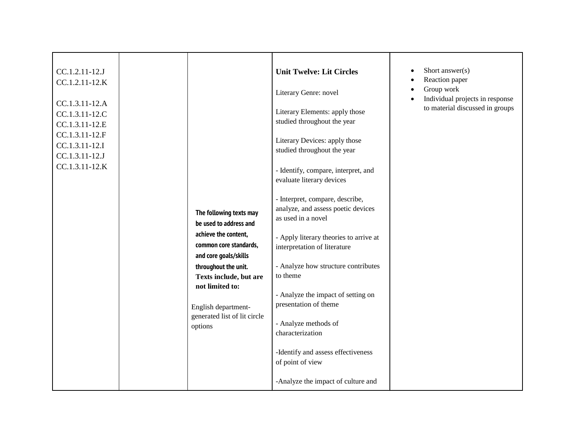| CC.1.2.11-12.J                                     |  |                                                                                                                                                                                                                | <b>Unit Twelve: Lit Circles</b>                                                             | Short answer(s)<br>Reaction paper<br>$\bullet$                                                |
|----------------------------------------------------|--|----------------------------------------------------------------------------------------------------------------------------------------------------------------------------------------------------------------|---------------------------------------------------------------------------------------------|-----------------------------------------------------------------------------------------------|
| CC.1.2.11-12.K<br>CC.1.3.11-12.A                   |  |                                                                                                                                                                                                                | Literary Genre: novel                                                                       | Group work<br>$\bullet$<br>Individual projects in response<br>to material discussed in groups |
| CC.1.3.11-12.C<br>CC.1.3.11-12.E                   |  |                                                                                                                                                                                                                | Literary Elements: apply those<br>studied throughout the year                               |                                                                                               |
| CC.1.3.11-12.F<br>CC.1.3.11-12.I<br>CC.1.3.11-12.J |  |                                                                                                                                                                                                                | Literary Devices: apply those<br>studied throughout the year                                |                                                                                               |
| CC.1.3.11-12.K                                     |  |                                                                                                                                                                                                                | - Identify, compare, interpret, and<br>evaluate literary devices                            |                                                                                               |
|                                                    |  | The following texts may<br>be used to address and                                                                                                                                                              | - Interpret, compare, describe,<br>analyze, and assess poetic devices<br>as used in a novel |                                                                                               |
|                                                    |  | achieve the content,<br>common core standards,<br>and core goals/skills<br>throughout the unit.<br>Texts include, but are<br>not limited to:<br>English department-<br>generated list of lit circle<br>options | - Apply literary theories to arrive at<br>interpretation of literature                      |                                                                                               |
|                                                    |  |                                                                                                                                                                                                                | - Analyze how structure contributes<br>to theme                                             |                                                                                               |
|                                                    |  |                                                                                                                                                                                                                | - Analyze the impact of setting on<br>presentation of theme                                 |                                                                                               |
|                                                    |  |                                                                                                                                                                                                                | - Analyze methods of<br>characterization                                                    |                                                                                               |
|                                                    |  |                                                                                                                                                                                                                | -Identify and assess effectiveness<br>of point of view                                      |                                                                                               |
|                                                    |  |                                                                                                                                                                                                                | -Analyze the impact of culture and                                                          |                                                                                               |